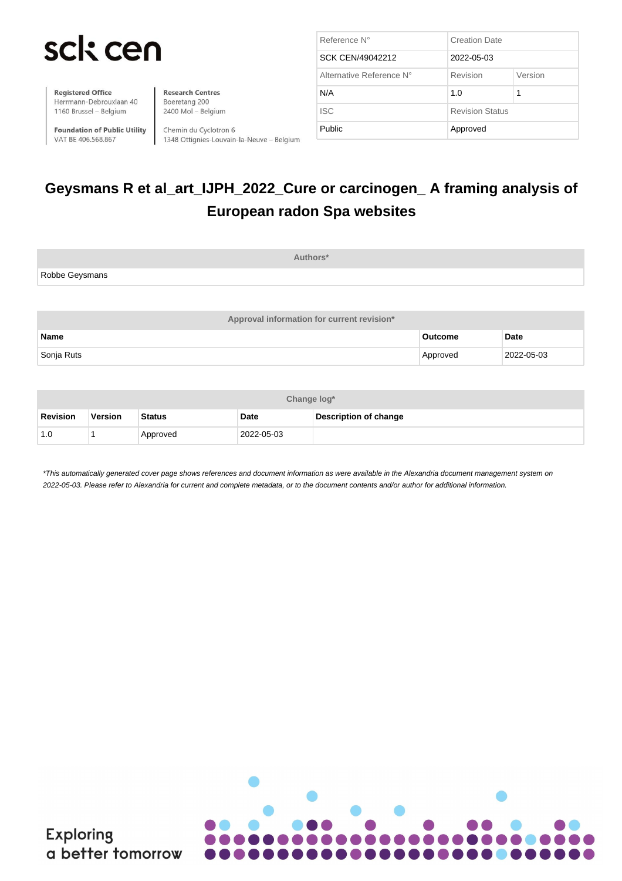# sck cen

**Registered Office** Herrmann-Debrouxlaan 40 1160 Brussel - Belgium

**Foundation of Public Utility** VAT BE 406.568.867

**Research Centres** Boeretang 200 2400 Mol - Belgium

Chemin du Cyclotron 6 1348 Ottignies-Louvain-la-Neuve - Belgium

| Reference N°             | <b>Creation Date</b>   |         |
|--------------------------|------------------------|---------|
| SCK CEN/49042212         | 2022-05-03             |         |
| Alternative Reference N° | Revision               | Version |
| N/A                      | 1.0                    | 1       |
| ISC.                     | <b>Revision Status</b> |         |
| Public                   | Approved               |         |

# **Geysmans R et al\_art\_IJPH\_2022\_Cure or carcinogen\_ A framing analysis of European radon Spa websites**

|                | Authors*                                   |                |             |
|----------------|--------------------------------------------|----------------|-------------|
| Robbe Geysmans |                                            |                |             |
|                |                                            |                |             |
|                | Approval information for current revision* |                |             |
| Name           |                                            | <b>Outcome</b> | <b>Date</b> |

Sonja Ruts Approved 2022-05-03 (2022-05-03) Approved 2022-05-03

| Change log*     |         |               |             |                       |
|-----------------|---------|---------------|-------------|-----------------------|
| <b>Revision</b> | Version | <b>Status</b> | <b>Date</b> | Description of change |
| 1.0             |         | Approved      | 2022-05-03  |                       |

\*This automatically generated cover page shows references and document information as were available in the Alexandria document management system on 2022-05-03. Please refer to Alexandria for current and complete metadata, or to the document contents and/or author for additional information.



**Exploring** a better tomorrow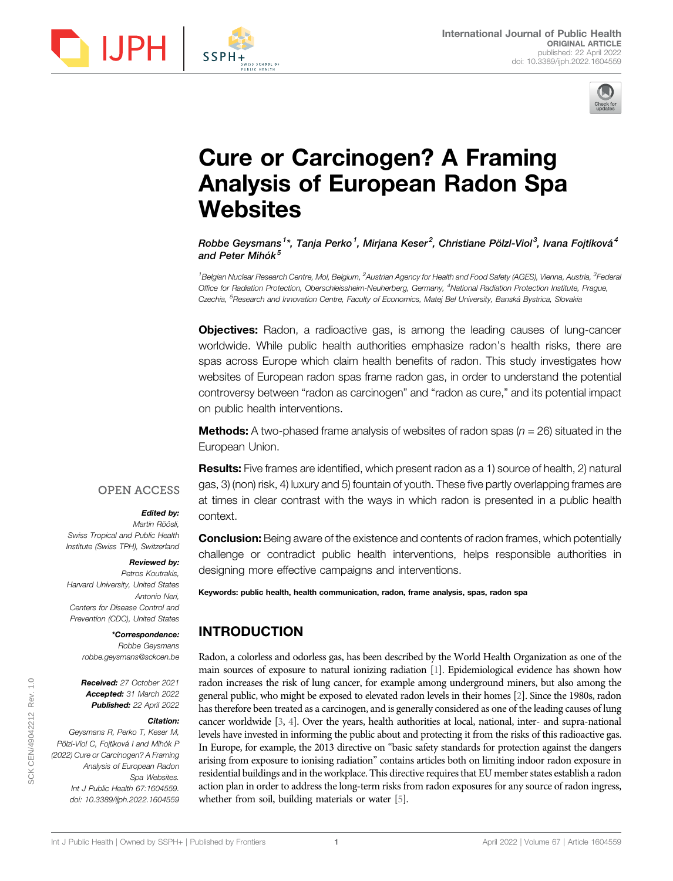



# Cure or Carcinogen? A Framing Analysis of European Radon Spa **Websites**

Robbe Gevsmans<sup>1</sup>\*, Tania Perko<sup>1</sup>, Miriana Keser<sup>2</sup>, Christiane Pölzl-Viol<sup>3</sup>, Ivana Foitíková<sup>4</sup> and Peter Mihók $<sup>5</sup>$ </sup>

<sup>1</sup>Belgian Nuclear Research Centre, Mol, Belgium, <sup>2</sup>Austrian Agency for Health and Food Safety (AGES), Vienna, Austria, <sup>3</sup>Federal Office for Radiation Protection, Oberschleissheim-Neuherberg, Germany, <sup>4</sup>National Radiation Protection Institute, Prague, Czechia, <sup>5</sup>Research and Innovation Centre, Faculty of Economics, Matej Bel University, Banská Bystrica, Slovakia

**Objectives:** Radon, a radioactive gas, is among the leading causes of lung-cancer worldwide. While public health authorities emphasize radon's health risks, there are spas across Europe which claim health benefits of radon. This study investigates how websites of European radon spas frame radon gas, in order to understand the potential controversy between "radon as carcinogen" and "radon as cure," and its potential impact on public health interventions.

**Methods:** A two-phased frame analysis of websites of radon spas  $(n = 26)$  situated in the European Union.

**Results:** Five frames are identified, which present radon as a 1) source of health, 2) natural gas, 3) (non) risk, 4) luxury and 5) fountain of youth. These five partly overlapping frames are at times in clear contrast with the ways in which radon is presented in a public health context.

#### **OPEN ACCESS**

l IPF

#### Edited by:

Martin Röösli, Swiss Tropical and Public Health Institute (Swiss TPH), Switzerland

#### Reviewed by:

Petros Koutrakis, Harvard University, United States Antonio Neri, Centers for Disease Control and Prevention (CDC), United States

#### \*Correspondence:

Robbe Geysmans [robbe.geysmans@sckcen.be](mailto:robbe.geysmans@sckcen.be)

Received: 27 October 2021 Accepted: 31 March 2022 Published: 22 April 2022

#### Citation:

Geysmans R, Perko T, Keser M, Pölzl-Viol C, Fojtíková I and Mihók P (2022) Cure or Carcinogen? A Framing Analysis of European Radon Spa Websites. Int J Public Health 67:1604559. doi: [10.3389/ijph.2022.1604559](https://doi.org/10.3389/ijph.2022.1604559)

**Conclusion:** Being aware of the existence and contents of radon frames, which potentially

challenge or contradict public health interventions, helps responsible authorities in designing more effective campaigns and interventions.

Keywords: public health, health communication, radon, frame analysis, spas, radon spa

## INTRODUCTION

Radon, a colorless and odorless gas, has been described by the World Health Organization as one of the main sources of exposure to natural ionizing radiation [\[1](#page-6-0)]. Epidemiological evidence has shown how radon increases the risk of lung cancer, for example among underground miners, but also among the general public, who might be exposed to elevated radon levels in their homes [\[2\]](#page-6-1). Since the 1980s, radon has therefore been treated as a carcinogen, and is generally considered as one of the leading causes of lung cancer worldwide [\[3](#page-6-2), [4\]](#page-6-3). Over the years, health authorities at local, national, inter- and supra-national levels have invested in informing the public about and protecting it from the risks of this radioactive gas. In Europe, for example, the 2013 directive on "basic safety standards for protection against the dangers arising from exposure to ionising radiation" contains articles both on limiting indoor radon exposure in residential buildings and in the workplace. This directive requires that EU member states establish a radon action plan in order to address the long-term risks from radon exposures for any source of radon ingress, whether from soil, building materials or water [\[5](#page-6-4)].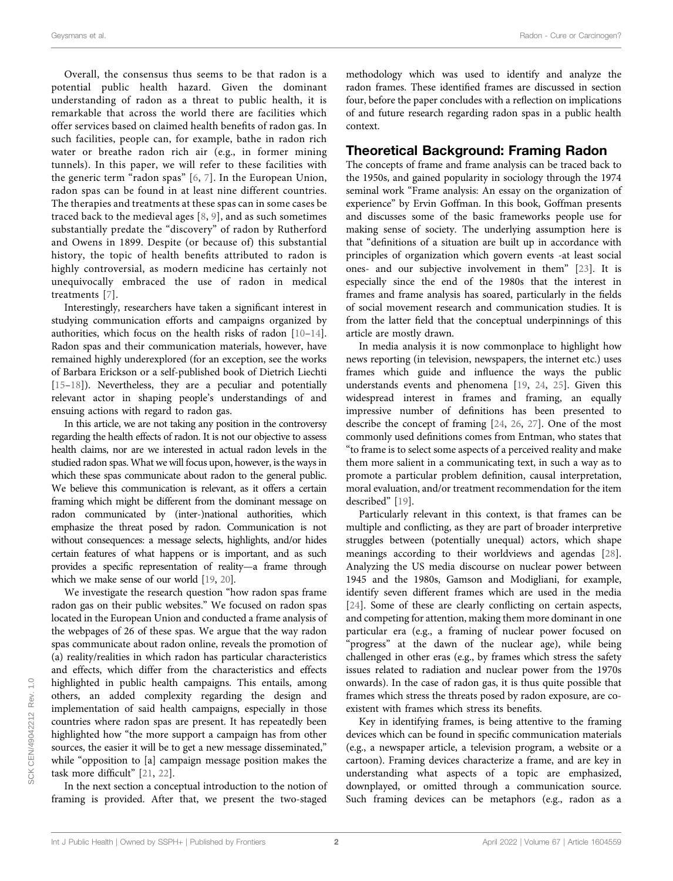Overall, the consensus thus seems to be that radon is a potential public health hazard. Given the dominant understanding of radon as a threat to public health, it is remarkable that across the world there are facilities which offer services based on claimed health benefits of radon gas. In such facilities, people can, for example, bathe in radon rich water or breathe radon rich air (e.g., in former mining tunnels). In this paper, we will refer to these facilities with the generic term "radon spas" [[6,](#page-6-5) [7](#page-6-6)]. In the European Union, radon spas can be found in at least nine different countries. The therapies and treatments at these spas can in some cases be traced back to the medieval ages [[8](#page-6-7), [9\]](#page-6-8), and as such sometimes substantially predate the "discovery" of radon by Rutherford and Owens in 1899. Despite (or because of) this substantial history, the topic of health benefits attributed to radon is highly controversial, as modern medicine has certainly not unequivocally embraced the use of radon in medical treatments [\[7\]](#page-6-6).

Interestingly, researchers have taken a significant interest in studying communication efforts and campaigns organized by authorities, which focus on the health risks of radon [[10](#page-6-9)–[14\]](#page-6-10). Radon spas and their communication materials, however, have remained highly underexplored (for an exception, see the works of Barbara Erickson or a self-published book of Dietrich Liechti [[15](#page-6-11)–[18\]](#page-6-12)). Nevertheless, they are a peculiar and potentially relevant actor in shaping people's understandings of and ensuing actions with regard to radon gas.

In this article, we are not taking any position in the controversy regarding the health effects of radon. It is not our objective to assess health claims, nor are we interested in actual radon levels in the studied radon spas. What we will focus upon, however, is the ways in which these spas communicate about radon to the general public. We believe this communication is relevant, as it offers a certain framing which might be different from the dominant message on radon communicated by (inter-)national authorities, which emphasize the threat posed by radon. Communication is not without consequences: a message selects, highlights, and/or hides certain features of what happens or is important, and as such provides a specific representation of reality—a frame through which we make sense of our world [\[19,](#page-6-13) [20\]](#page-6-14).

We investigate the research question "how radon spas frame radon gas on their public websites." We focused on radon spas located in the European Union and conducted a frame analysis of the webpages of 26 of these spas. We argue that the way radon spas communicate about radon online, reveals the promotion of (a) reality/realities in which radon has particular characteristics and effects, which differ from the characteristics and effects highlighted in public health campaigns. This entails, among others, an added complexity regarding the design and implementation of said health campaigns, especially in those countries where radon spas are present. It has repeatedly been highlighted how "the more support a campaign has from other sources, the easier it will be to get a new message disseminated," while "opposition to [a] campaign message position makes the task more difficult" [[21](#page-6-15), [22](#page-6-16)].

In the next section a conceptual introduction to the notion of framing is provided. After that, we present the two-staged

methodology which was used to identify and analyze the radon frames. These identified frames are discussed in section four, before the paper concludes with a reflection on implications of and future research regarding radon spas in a public health context.

#### Theoretical Background: Framing Radon

The concepts of frame and frame analysis can be traced back to the 1950s, and gained popularity in sociology through the 1974 seminal work "Frame analysis: An essay on the organization of experience" by Ervin Goffman. In this book, Goffman presents and discusses some of the basic frameworks people use for making sense of society. The underlying assumption here is that "definitions of a situation are built up in accordance with principles of organization which govern events -at least social ones- and our subjective involvement in them" [\[23](#page-6-17)]. It is especially since the end of the 1980s that the interest in frames and frame analysis has soared, particularly in the fields of social movement research and communication studies. It is from the latter field that the conceptual underpinnings of this article are mostly drawn.

In media analysis it is now commonplace to highlight how news reporting (in television, newspapers, the internet etc.) uses frames which guide and influence the ways the public understands events and phenomena [[19,](#page-6-13) [24,](#page-6-18) [25\]](#page-6-19). Given this widespread interest in frames and framing, an equally impressive number of definitions has been presented to describe the concept of framing [\[24](#page-6-18), [26](#page-6-20), [27\]](#page-6-21). One of the most commonly used definitions comes from Entman, who states that "to frame is to select some aspects of a perceived reality and make them more salient in a communicating text, in such a way as to promote a particular problem definition, causal interpretation, moral evaluation, and/or treatment recommendation for the item described" [\[19](#page-6-13)].

Particularly relevant in this context, is that frames can be multiple and conflicting, as they are part of broader interpretive struggles between (potentially unequal) actors, which shape meanings according to their worldviews and agendas [[28\]](#page-6-22). Analyzing the US media discourse on nuclear power between 1945 and the 1980s, Gamson and Modigliani, for example, identify seven different frames which are used in the media [\[24](#page-6-18)]. Some of these are clearly conflicting on certain aspects, and competing for attention, making them more dominant in one particular era (e.g., a framing of nuclear power focused on "progress" at the dawn of the nuclear age), while being challenged in other eras (e.g., by frames which stress the safety issues related to radiation and nuclear power from the 1970s onwards). In the case of radon gas, it is thus quite possible that frames which stress the threats posed by radon exposure, are coexistent with frames which stress its benefits.

Key in identifying frames, is being attentive to the framing devices which can be found in specific communication materials (e.g., a newspaper article, a television program, a website or a cartoon). Framing devices characterize a frame, and are key in understanding what aspects of a topic are emphasized, downplayed, or omitted through a communication source. Such framing devices can be metaphors (e.g., radon as a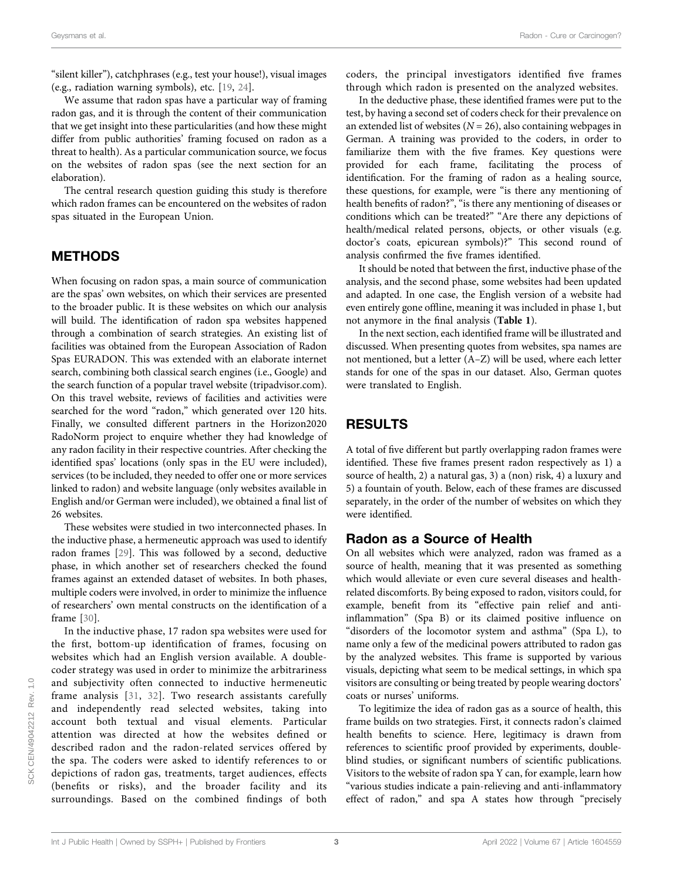"silent killer"), catchphrases (e.g., test your house!), visual images (e.g., radiation warning symbols), etc. [\[19](#page-6-13), [24\]](#page-6-18).

We assume that radon spas have a particular way of framing radon gas, and it is through the content of their communication that we get insight into these particularities (and how these might differ from public authorities' framing focused on radon as a threat to health). As a particular communication source, we focus on the websites of radon spas (see the next section for an elaboration).

The central research question guiding this study is therefore which radon frames can be encountered on the websites of radon spas situated in the European Union.

#### **METHODS**

When focusing on radon spas, a main source of communication are the spas' own websites, on which their services are presented to the broader public. It is these websites on which our analysis will build. The identification of radon spa websites happened through a combination of search strategies. An existing list of facilities was obtained from the European Association of Radon Spas EURADON. This was extended with an elaborate internet search, combining both classical search engines (i.e., Google) and the search function of a popular travel website [\(tripadvisor.com\)](http://tripadvisor.com). On this travel website, reviews of facilities and activities were searched for the word "radon," which generated over 120 hits. Finally, we consulted different partners in the Horizon2020 RadoNorm project to enquire whether they had knowledge of any radon facility in their respective countries. After checking the identified spas' locations (only spas in the EU were included), services (to be included, they needed to offer one or more services linked to radon) and website language (only websites available in English and/or German were included), we obtained a final list of 26 websites.

These websites were studied in two interconnected phases. In the inductive phase, a hermeneutic approach was used to identify radon frames [[29\]](#page-6-23). This was followed by a second, deductive phase, in which another set of researchers checked the found frames against an extended dataset of websites. In both phases, multiple coders were involved, in order to minimize the influence of researchers' own mental constructs on the identification of a frame [[30\]](#page-6-24).

In the inductive phase, 17 radon spa websites were used for the first, bottom-up identification of frames, focusing on websites which had an English version available. A doublecoder strategy was used in order to minimize the arbitrariness and subjectivity often connected to inductive hermeneutic frame analysis [[31](#page-6-25), [32](#page-7-0)]. Two research assistants carefully and independently read selected websites, taking into account both textual and visual elements. Particular attention was directed at how the websites defined or described radon and the radon-related services offered by the spa. The coders were asked to identify references to or depictions of radon gas, treatments, target audiences, effects (benefits or risks), and the broader facility and its surroundings. Based on the combined findings of both

coders, the principal investigators identified five frames through which radon is presented on the analyzed websites.

In the deductive phase, these identified frames were put to the test, by having a second set of coders check for their prevalence on an extended list of websites ( $N = 26$ ), also containing webpages in German. A training was provided to the coders, in order to familiarize them with the five frames. Key questions were provided for each frame, facilitating the process of identification. For the framing of radon as a healing source, these questions, for example, were "is there any mentioning of health benefits of radon?", "is there any mentioning of diseases or conditions which can be treated?" "Are there any depictions of health/medical related persons, objects, or other visuals (e.g. doctor's coats, epicurean symbols)?" This second round of analysis confirmed the five frames identified.

It should be noted that between the first, inductive phase of the analysis, and the second phase, some websites had been updated and adapted. In one case, the English version of a website had even entirely gone offline, meaning it was included in phase 1, but not anymore in the final analysis ([Table 1](#page-4-0)).

In the next section, each identified frame will be illustrated and discussed. When presenting quotes from websites, spa names are not mentioned, but a letter (A–Z) will be used, where each letter stands for one of the spas in our dataset. Also, German quotes were translated to English.

## RESULTS

A total of five different but partly overlapping radon frames were identified. These five frames present radon respectively as 1) a source of health, 2) a natural gas, 3) a (non) risk, 4) a luxury and 5) a fountain of youth. Below, each of these frames are discussed separately, in the order of the number of websites on which they were identified.

#### Radon as a Source of Health

On all websites which were analyzed, radon was framed as a source of health, meaning that it was presented as something which would alleviate or even cure several diseases and healthrelated discomforts. By being exposed to radon, visitors could, for example, benefit from its "effective pain relief and antiinflammation" (Spa B) or its claimed positive influence on "disorders of the locomotor system and asthma" (Spa L), to name only a few of the medicinal powers attributed to radon gas by the analyzed websites. This frame is supported by various visuals, depicting what seem to be medical settings, in which spa visitors are consulting or being treated by people wearing doctors' coats or nurses' uniforms.

To legitimize the idea of radon gas as a source of health, this frame builds on two strategies. First, it connects radon's claimed health benefits to science. Here, legitimacy is drawn from references to scientific proof provided by experiments, doubleblind studies, or significant numbers of scientific publications. Visitors to the website of radon spa Y can, for example, learn how "various studies indicate a pain-relieving and anti-inflammatory effect of radon," and spa A states how through "precisely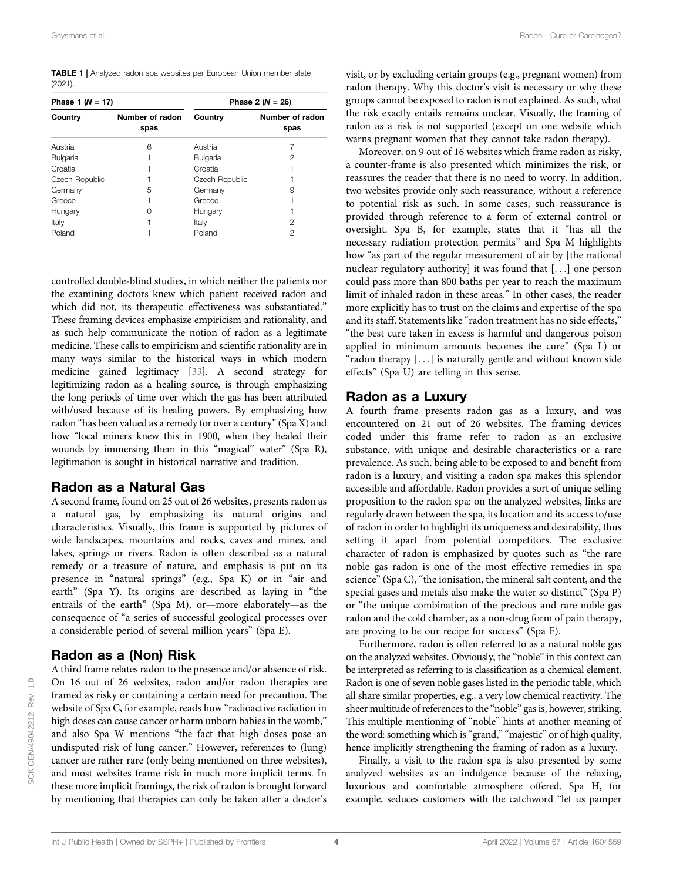<span id="page-4-0"></span>TABLE 1 | Analyzed radon spa websites per European Union member state (2021).

| Phase 1 $(N = 17)$ |                         | Phase 2 $(N = 26)$ |                         |  |
|--------------------|-------------------------|--------------------|-------------------------|--|
| Country            | Number of radon<br>spas | Country            | Number of radon<br>spas |  |
| Austria            | 6                       | Austria            |                         |  |
| Bulgaria           |                         | <b>Bulgaria</b>    | 2                       |  |
| Croatia            |                         | Croatia            |                         |  |
| Czech Republic     |                         | Czech Republic     |                         |  |
| Germany            | 5                       | Germany            | 9                       |  |
| Greece             |                         | Greece             |                         |  |
| Hungary            | 0                       | Hungary            |                         |  |
| Italy              |                         | Italy              | 2                       |  |
| Poland             |                         | Poland             | 2                       |  |

controlled double-blind studies, in which neither the patients nor the examining doctors knew which patient received radon and which did not, its therapeutic effectiveness was substantiated." These framing devices emphasize empiricism and rationality, and as such help communicate the notion of radon as a legitimate medicine. These calls to empiricism and scientific rationality are in many ways similar to the historical ways in which modern medicine gained legitimacy [[33\]](#page-7-1). A second strategy for legitimizing radon as a healing source, is through emphasizing the long periods of time over which the gas has been attributed with/used because of its healing powers. By emphasizing how radon "has been valued as a remedy for over a century"(Spa X) and how "local miners knew this in 1900, when they healed their wounds by immersing them in this "magical" water" (Spa R), legitimation is sought in historical narrative and tradition.

#### Radon as a Natural Gas

A second frame, found on 25 out of 26 websites, presents radon as a natural gas, by emphasizing its natural origins and characteristics. Visually, this frame is supported by pictures of wide landscapes, mountains and rocks, caves and mines, and lakes, springs or rivers. Radon is often described as a natural remedy or a treasure of nature, and emphasis is put on its presence in "natural springs" (e.g., Spa K) or in "air and earth" (Spa Y). Its origins are described as laying in "the entrails of the earth" (Spa M), or—more elaborately—as the consequence of "a series of successful geological processes over a considerable period of several million years" (Spa E).

#### Radon as a (Non) Risk

A third frame relates radon to the presence and/or absence of risk. On 16 out of 26 websites, radon and/or radon therapies are framed as risky or containing a certain need for precaution. The website of Spa C, for example, reads how "radioactive radiation in high doses can cause cancer or harm unborn babies in the womb," and also Spa W mentions "the fact that high doses pose an undisputed risk of lung cancer." However, references to (lung) cancer are rather rare (only being mentioned on three websites), and most websites frame risk in much more implicit terms. In these more implicit framings, the risk of radon is brought forward by mentioning that therapies can only be taken after a doctor's

visit, or by excluding certain groups (e.g., pregnant women) from radon therapy. Why this doctor's visit is necessary or why these groups cannot be exposed to radon is not explained. As such, what the risk exactly entails remains unclear. Visually, the framing of radon as a risk is not supported (except on one website which warns pregnant women that they cannot take radon therapy).

Moreover, on 9 out of 16 websites which frame radon as risky, a counter-frame is also presented which minimizes the risk, or reassures the reader that there is no need to worry. In addition, two websites provide only such reassurance, without a reference to potential risk as such. In some cases, such reassurance is provided through reference to a form of external control or oversight. Spa B, for example, states that it "has all the necessary radiation protection permits" and Spa M highlights how "as part of the regular measurement of air by [the national nuclear regulatory authority] it was found that [...] one person could pass more than 800 baths per year to reach the maximum limit of inhaled radon in these areas." In other cases, the reader more explicitly has to trust on the claims and expertise of the spa and its staff. Statements like "radon treatment has no side effects," "the best cure taken in excess is harmful and dangerous poison applied in minimum amounts becomes the cure" (Spa L) or "radon therapy [...] is naturally gentle and without known side effects" (Spa U) are telling in this sense.

#### Radon as a Luxury

A fourth frame presents radon gas as a luxury, and was encountered on 21 out of 26 websites. The framing devices coded under this frame refer to radon as an exclusive substance, with unique and desirable characteristics or a rare prevalence. As such, being able to be exposed to and benefit from radon is a luxury, and visiting a radon spa makes this splendor accessible and affordable. Radon provides a sort of unique selling proposition to the radon spa: on the analyzed websites, links are regularly drawn between the spa, its location and its access to/use of radon in order to highlight its uniqueness and desirability, thus setting it apart from potential competitors. The exclusive character of radon is emphasized by quotes such as "the rare noble gas radon is one of the most effective remedies in spa science" (Spa C), "the ionisation, the mineral salt content, and the special gases and metals also make the water so distinct" (Spa P) or "the unique combination of the precious and rare noble gas radon and the cold chamber, as a non-drug form of pain therapy, are proving to be our recipe for success" (Spa F).

Furthermore, radon is often referred to as a natural noble gas on the analyzed websites. Obviously, the "noble" in this context can be interpreted as referring to is classification as a chemical element. Radon is one of seven noble gases listed in the periodic table, which all share similar properties, e.g., a very low chemical reactivity. The sheer multitude of references to the "noble" gas is, however, striking. This multiple mentioning of "noble" hints at another meaning of the word: something which is "grand," "majestic" or of high quality, hence implicitly strengthening the framing of radon as a luxury.

Finally, a visit to the radon spa is also presented by some analyzed websites as an indulgence because of the relaxing, luxurious and comfortable atmosphere offered. Spa H, for example, seduces customers with the catchword "let us pamper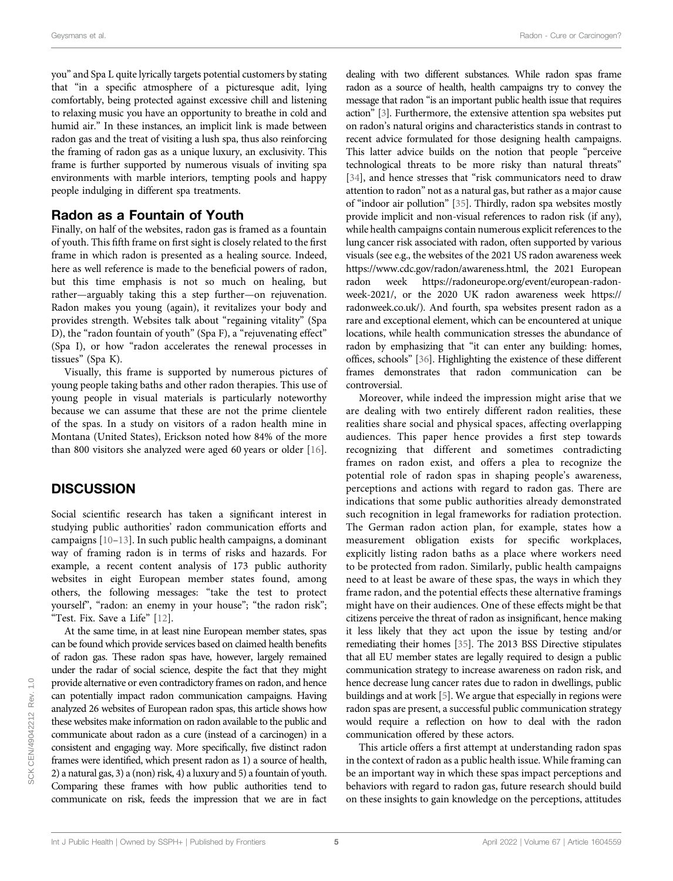you" and Spa L quite lyrically targets potential customers by stating that "in a specific atmosphere of a picturesque adit, lying comfortably, being protected against excessive chill and listening to relaxing music you have an opportunity to breathe in cold and humid air." In these instances, an implicit link is made between radon gas and the treat of visiting a lush spa, thus also reinforcing the framing of radon gas as a unique luxury, an exclusivity. This frame is further supported by numerous visuals of inviting spa environments with marble interiors, tempting pools and happy people indulging in different spa treatments.

#### Radon as a Fountain of Youth

Finally, on half of the websites, radon gas is framed as a fountain of youth. This fifth frame on first sight is closely related to the first frame in which radon is presented as a healing source. Indeed, here as well reference is made to the beneficial powers of radon, but this time emphasis is not so much on healing, but rather—arguably taking this a step further—on rejuvenation. Radon makes you young (again), it revitalizes your body and provides strength. Websites talk about "regaining vitality" (Spa D), the "radon fountain of youth" (Spa F), a "rejuvenating effect" (Spa I), or how "radon accelerates the renewal processes in tissues" (Spa K).

Visually, this frame is supported by numerous pictures of young people taking baths and other radon therapies. This use of young people in visual materials is particularly noteworthy because we can assume that these are not the prime clientele of the spas. In a study on visitors of a radon health mine in Montana (United States), Erickson noted how 84% of the more than 800 visitors she analyzed were aged 60 years or older [[16\]](#page-6-26).

#### **DISCUSSION**

Social scientific research has taken a significant interest in studying public authorities' radon communication efforts and campaigns [[10](#page-6-9)–[13\]](#page-6-27). In such public health campaigns, a dominant way of framing radon is in terms of risks and hazards. For example, a recent content analysis of 173 public authority websites in eight European member states found, among others, the following messages: "take the test to protect yourself", "radon: an enemy in your house"; "the radon risk"; "Test. Fix. Save a Life" [\[12](#page-6-28)].

At the same time, in at least nine European member states, spas can be found which provide services based on claimed health benefits of radon gas. These radon spas have, however, largely remained under the radar of social science, despite the fact that they might provide alternative or even contradictory frames on radon, and hence can potentially impact radon communication campaigns. Having analyzed 26 websites of European radon spas, this article shows how these websites make information on radon available to the public and communicate about radon as a cure (instead of a carcinogen) in a consistent and engaging way. More specifically, five distinct radon frames were identified, which present radon as 1) a source of health, 2) a natural gas, 3) a (non) risk, 4) a luxury and 5) a fountain of youth. Comparing these frames with how public authorities tend to communicate on risk, feeds the impression that we are in fact dealing with two different substances. While radon spas frame radon as a source of health, health campaigns try to convey the message that radon "is an important public health issue that requires action" [\[3\]](#page-6-2). Furthermore, the extensive attention spa websites put on radon's natural origins and characteristics stands in contrast to recent advice formulated for those designing health campaigns. This latter advice builds on the notion that people "perceive technological threats to be more risky than natural threats" [\[34](#page-7-2)], and hence stresses that "risk communicators need to draw attention to radon" not as a natural gas, but rather as a major cause of "indoor air pollution" [\[35\]](#page-7-3). Thirdly, radon spa websites mostly provide implicit and non-visual references to radon risk (if any), while health campaigns contain numerous explicit references to the lung cancer risk associated with radon, often supported by various visuals (see e.g., the websites of the 2021 US radon awareness week [https://www.cdc.gov/radon/awareness.html,](https://www.cdc.gov/radon/awareness.html) the 2021 European radon week [https://radoneurope.org/event/european-radon](https://radoneurope.org/event/european-radon-week-2021/)[week-2021/,](https://radoneurope.org/event/european-radon-week-2021/) or the 2020 UK radon awareness week [https://](https://radonweek.co.uk/) [radonweek.co.uk/](https://radonweek.co.uk/)). And fourth, spa websites present radon as a rare and exceptional element, which can be encountered at unique locations, while health communication stresses the abundance of radon by emphasizing that "it can enter any building: homes, offices, schools" [[36\]](#page-7-4). Highlighting the existence of these different frames demonstrates that radon communication can be controversial.

Moreover, while indeed the impression might arise that we are dealing with two entirely different radon realities, these realities share social and physical spaces, affecting overlapping audiences. This paper hence provides a first step towards recognizing that different and sometimes contradicting frames on radon exist, and offers a plea to recognize the potential role of radon spas in shaping people's awareness, perceptions and actions with regard to radon gas. There are indications that some public authorities already demonstrated such recognition in legal frameworks for radiation protection. The German radon action plan, for example, states how a measurement obligation exists for specific workplaces, explicitly listing radon baths as a place where workers need to be protected from radon. Similarly, public health campaigns need to at least be aware of these spas, the ways in which they frame radon, and the potential effects these alternative framings might have on their audiences. One of these effects might be that citizens perceive the threat of radon as insignificant, hence making it less likely that they act upon the issue by testing and/or remediating their homes [\[35\]](#page-7-3). The 2013 BSS Directive stipulates that all EU member states are legally required to design a public communication strategy to increase awareness on radon risk, and hence decrease lung cancer rates due to radon in dwellings, public buildings and at work [\[5\]](#page-6-4). We argue that especially in regions were radon spas are present, a successful public communication strategy would require a reflection on how to deal with the radon communication offered by these actors.

This article offers a first attempt at understanding radon spas in the context of radon as a public health issue. While framing can be an important way in which these spas impact perceptions and behaviors with regard to radon gas, future research should build on these insights to gain knowledge on the perceptions, attitudes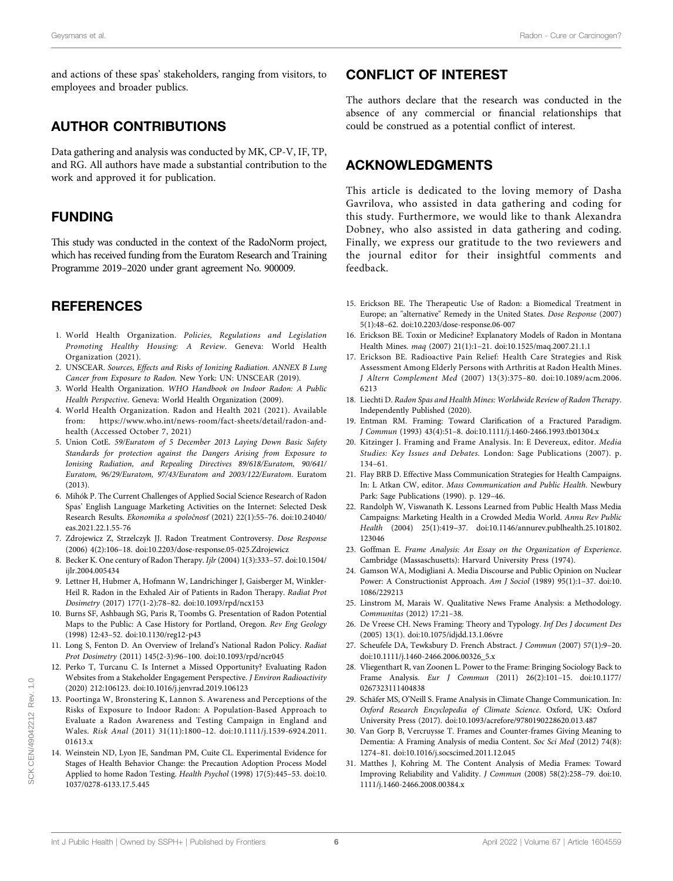and actions of these spas' stakeholders, ranging from visitors, to employees and broader publics.

### AUTHOR CONTRIBUTIONS

Data gathering and analysis was conducted by MK, CP-V, IF, TP, and RG. All authors have made a substantial contribution to the work and approved it for publication.

#### FUNDING

This study was conducted in the context of the RadoNorm project, which has received funding from the Euratom Research and Training Programme 2019–2020 under grant agreement No. 900009.

### **REFERENCES**

- <span id="page-6-0"></span>1. World Health Organization. Policies, Regulations and Legislation Promoting Healthy Housing: A Review. Geneva: World Health Organization (2021).
- <span id="page-6-1"></span>2. UNSCEAR. Sources, Effects and Risks of Ionizing Radiation. ANNEX B Lung Cancer from Exposure to Radon. New York: UN: UNSCEAR (2019).
- <span id="page-6-2"></span>3. World Health Organization. WHO Handbook on Indoor Radon: A Public Health Perspective. Geneva: World Health Organization (2009).
- <span id="page-6-3"></span>4. World Health Organization. Radon and Health 2021 (2021). Available from: [https://www.who.int/news-room/fact-sheets/detail/radon-and](https://www.who.int/news-room/fact-sheets/detail/radon-and-health)[health](https://www.who.int/news-room/fact-sheets/detail/radon-and-health) (Accessed October 7, 2021)
- <span id="page-6-4"></span>5. Union CotE. 59/Euratom of 5 December 2013 Laying Down Basic Safety Standards for protection against the Dangers Arising from Exposure to Ionising Radiation, and Repealing Directives 89/618/Euratom, 90/641/ Euratom, 96/29/Euratom, 97/43/Euratom and 2003/122/Euratom. Euratom (2013).
- <span id="page-6-5"></span>6. Mihók P. The Current Challenges of Applied Social Science Research of Radon Spas' English Language Marketing Activities on the Internet: Selected Desk Research Results. Ekonomika a spoločnosť (2021) 22(1):55–76. doi:[10.24040/](https://doi.org/10.24040/eas.2021.22.1.55-76) [eas.2021.22.1.55-76](https://doi.org/10.24040/eas.2021.22.1.55-76)
- <span id="page-6-6"></span>7. Zdrojewicz Z, Strzelczyk JJ. Radon Treatment Controversy. Dose Response (2006) 4(2):106–18. doi[:10.2203/dose-response.05-025.Zdrojewicz](https://doi.org/10.2203/dose-response.05-025.Zdrojewicz)
- <span id="page-6-7"></span>8. Becker K. One century of Radon Therapy. Ijlr (2004) 1(3):333–57. doi:[10.1504/](https://doi.org/10.1504/ijlr.2004.005434) [ijlr.2004.005434](https://doi.org/10.1504/ijlr.2004.005434)
- <span id="page-6-8"></span>9. Lettner H, Hubmer A, Hofmann W, Landrichinger J, Gaisberger M, Winkler-Heil R. Radon in the Exhaled Air of Patients in Radon Therapy. Radiat Prot Dosimetry (2017) 177(1-2):78–82. doi:[10.1093/rpd/ncx153](https://doi.org/10.1093/rpd/ncx153)
- <span id="page-6-9"></span>10. Burns SF, Ashbaugh SG, Paris R, Toombs G. Presentation of Radon Potential Maps to the Public: A Case History for Portland, Oregon. Rev Eng Geology (1998) 12:43–52. doi[:10.1130/reg12-p43](https://doi.org/10.1130/reg12-p43)
- 11. Long S, Fenton D. An Overview of Ireland's National Radon Policy. Radiat Prot Dosimetry (2011) 145(2-3):96–100. doi[:10.1093/rpd/ncr045](https://doi.org/10.1093/rpd/ncr045)
- <span id="page-6-28"></span>12. Perko T, Turcanu C. Is Internet a Missed Opportunity? Evaluating Radon Websites from a Stakeholder Engagement Perspective. J Environ Radioactivity (2020) 212:106123. doi[:10.1016/j.jenvrad.2019.106123](https://doi.org/10.1016/j.jenvrad.2019.106123)
- <span id="page-6-27"></span>13. Poortinga W, Bronstering K, Lannon S. Awareness and Perceptions of the Risks of Exposure to Indoor Radon: A Population-Based Approach to Evaluate a Radon Awareness and Testing Campaign in England and Wales. Risk Anal (2011) 31(11):1800–12. doi[:10.1111/j.1539-6924.2011.](https://doi.org/10.1111/j.1539-6924.2011.01613.x) [01613.x](https://doi.org/10.1111/j.1539-6924.2011.01613.x)
- <span id="page-6-10"></span>14. Weinstein ND, Lyon JE, Sandman PM, Cuite CL. Experimental Evidence for Stages of Health Behavior Change: the Precaution Adoption Process Model Applied to home Radon Testing. Health Psychol (1998) 17(5):445–53. doi[:10.](https://doi.org/10.1037/0278-6133.17.5.445) [1037/0278-6133.17.5.445](https://doi.org/10.1037/0278-6133.17.5.445)

#### CONFLICT OF INTEREST

The authors declare that the research was conducted in the absence of any commercial or financial relationships that could be construed as a potential conflict of interest.

#### ACKNOWLEDGMENTS

This article is dedicated to the loving memory of Dasha Gavrilova, who assisted in data gathering and coding for this study. Furthermore, we would like to thank Alexandra Dobney, who also assisted in data gathering and coding. Finally, we express our gratitude to the two reviewers and the journal editor for their insightful comments and feedback.

- <span id="page-6-11"></span>15. Erickson BE. The Therapeutic Use of Radon: a Biomedical Treatment in Europe; an "alternative" Remedy in the United States. Dose Response (2007) 5(1):48–62. doi[:10.2203/dose-response.06-007](https://doi.org/10.2203/dose-response.06-007)
- <span id="page-6-26"></span>16. Erickson BE. Toxin or Medicine? Explanatory Models of Radon in Montana Health Mines. maq (2007) 21(1):1–21. doi:[10.1525/maq.2007.21.1.1](https://doi.org/10.1525/maq.2007.21.1.1)
- 17. Erickson BE. Radioactive Pain Relief: Health Care Strategies and Risk Assessment Among Elderly Persons with Arthritis at Radon Health Mines. J Altern Complement Med (2007) 13(3):375–80. doi:[10.1089/acm.2006.](https://doi.org/10.1089/acm.2006.6213) [6213](https://doi.org/10.1089/acm.2006.6213)
- <span id="page-6-12"></span>18. Liechti D. Radon Spas and Health Mines: Worldwide Review of Radon Therapy. Independently Published (2020).
- <span id="page-6-13"></span>19. Entman RM. Framing: Toward Clarification of a Fractured Paradigm. J Commun (1993) 43(4):51–8. doi[:10.1111/j.1460-2466.1993.tb01304.x](https://doi.org/10.1111/j.1460-2466.1993.tb01304.x)
- <span id="page-6-14"></span>20. Kitzinger J. Framing and Frame Analysis. In: E Devereux, editor. Media Studies: Key Issues and Debates. London: Sage Publications (2007). p. 134–61.
- <span id="page-6-15"></span>21. Flay BRB D. Effective Mass Communication Strategies for Health Campaigns. In: L Atkan CW, editor. Mass Communication and Public Health. Newbury Park: Sage Publications (1990). p. 129–46.
- <span id="page-6-16"></span>22. Randolph W, Viswanath K. Lessons Learned from Public Health Mass Media Campaigns: Marketing Health in a Crowded Media World. Annu Rev Public Health (2004) 25(1):419–37. doi:[10.1146/annurev.publhealth.25.101802.](https://doi.org/10.1146/annurev.publhealth.25.101802.123046) [123046](https://doi.org/10.1146/annurev.publhealth.25.101802.123046)
- <span id="page-6-17"></span>23. Goffman E. Frame Analysis: An Essay on the Organization of Experience. Cambridge (Massaschusetts): Harvard University Press (1974).
- <span id="page-6-18"></span>24. Gamson WA, Modigliani A. Media Discourse and Public Opinion on Nuclear Power: A Constructionist Approach. Am J Sociol (1989) 95(1):1–37. doi[:10.](https://doi.org/10.1086/229213) [1086/229213](https://doi.org/10.1086/229213)
- <span id="page-6-19"></span>25. Linstrom M, Marais W. Qualitative News Frame Analysis: a Methodology. Communitas (2012) 17:21–38.
- <span id="page-6-20"></span>26. De Vreese CH. News Framing: Theory and Typology. Inf Des J document Des (2005) 13(1). doi:[10.1075/idjdd.13.1.06vre](https://doi.org/10.1075/idjdd.13.1.06vre)
- <span id="page-6-21"></span>27. Scheufele DA, Tewksbury D. French Abstract. J Commun (2007) 57(1):9–20. doi:[10.1111/j.1460-2466.2006.00326\\_5.x](https://doi.org/10.1111/j.1460-2466.2006.00326_5.x)
- <span id="page-6-22"></span>28. Vliegenthart R, van Zoonen L. Power to the Frame: Bringing Sociology Back to Frame Analysis. Eur J Commun (2011) 26(2):101–15. doi[:10.1177/](https://doi.org/10.1177/0267323111404838) [0267323111404838](https://doi.org/10.1177/0267323111404838)
- <span id="page-6-23"></span>29. Schäfer MS, O'Neill S. Frame Analysis in Climate Change Communication. In: Oxford Research Encyclopedia of Climate Science. Oxford, UK: Oxford University Press (2017). doi[:10.1093/acrefore/9780190228620.013.487](https://doi.org/10.1093/acrefore/9780190228620.013.487)
- <span id="page-6-24"></span>30. Van Gorp B, Vercruysse T. Frames and Counter-frames Giving Meaning to Dementia: A Framing Analysis of media Content. Soc Sci Med (2012) 74(8): 1274–81. doi[:10.1016/j.socscimed.2011.12.045](https://doi.org/10.1016/j.socscimed.2011.12.045)
- <span id="page-6-25"></span>31. Matthes J, Kohring M. The Content Analysis of Media Frames: Toward Improving Reliability and Validity. J Commun (2008) 58(2):258–79. doi[:10.](https://doi.org/10.1111/j.1460-2466.2008.00384.x) [1111/j.1460-2466.2008.00384.x](https://doi.org/10.1111/j.1460-2466.2008.00384.x)

 $\overline{1}$